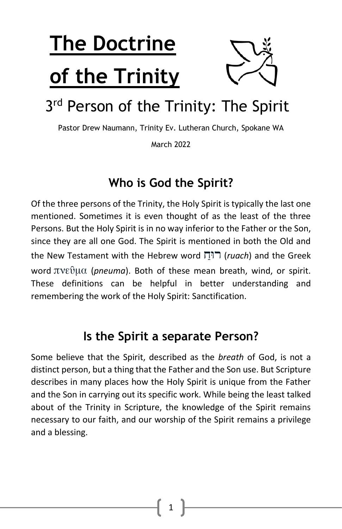# **The Doctrine of the Trinity**



## 3<sup>rd</sup> Person of the Trinity: The Spirit

Pastor Drew Naumann, Trinity Ev. Lutheran Church, Spokane WA

March 2022

#### **Who is God the Spirit?**

Of the three persons of the Trinity, the Holy Spirit is typically the last one mentioned. Sometimes it is even thought of as the least of the three Persons. But the Holy Spirit is in no way inferior to the Father or the Son, since they are all one God. The Spirit is mentioned in both the Old and the New Testament with the Hebrew word ַ וחּר) *ruach*) and the Greek word πνεῦμα (*pneuma*). Both of these mean breath, wind, or spirit. These definitions can be helpful in better understanding and remembering the work of the Holy Spirit: Sanctification.

#### **Is the Spirit a separate Person?**

Some believe that the Spirit, described as the *breath* of God, is not a distinct person, but a thing that the Father and the Son use. But Scripture describes in many places how the Holy Spirit is unique from the Father and the Son in carrying out its specific work. While being the least talked about of the Trinity in Scripture, the knowledge of the Spirit remains necessary to our faith, and our worship of the Spirit remains a privilege and a blessing.

1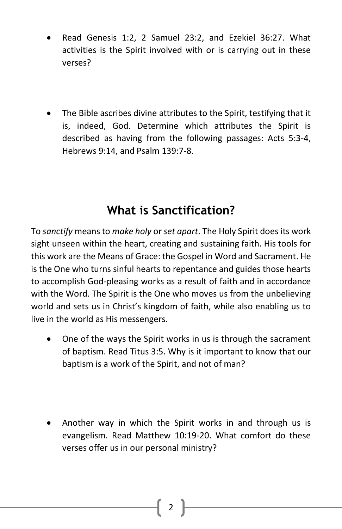- Read Genesis 1:2, 2 Samuel 23:2, and Ezekiel 36:27. What activities is the Spirit involved with or is carrying out in these verses?
- The Bible ascribes divine attributes to the Spirit, testifying that it is, indeed, God. Determine which attributes the Spirit is described as having from the following passages: Acts 5:3-4, Hebrews 9:14, and Psalm 139:7-8.

#### **What is Sanctification?**

To *sanctify* means to *make holy* or *set apart*. The Holy Spirit does its work sight unseen within the heart, creating and sustaining faith. His tools for this work are the Means of Grace: the Gospel in Word and Sacrament. He is the One who turns sinful hearts to repentance and guides those hearts to accomplish God-pleasing works as a result of faith and in accordance with the Word. The Spirit is the One who moves us from the unbelieving world and sets us in Christ's kingdom of faith, while also enabling us to live in the world as His messengers.

- One of the ways the Spirit works in us is through the sacrament of baptism. Read Titus 3:5. Why is it important to know that our baptism is a work of the Spirit, and not of man?
- Another way in which the Spirit works in and through us is evangelism. Read Matthew 10:19-20. What comfort do these verses offer us in our personal ministry?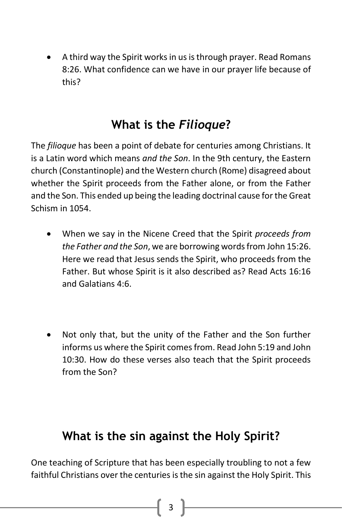• A third way the Spirit works in us is through prayer. Read Romans 8:26. What confidence can we have in our prayer life because of this?

#### **What is the** *Filioque***?**

The *filioque* has been a point of debate for centuries among Christians. It is a Latin word which means *and the Son*. In the 9th century, the Eastern church (Constantinople) and the Western church (Rome) disagreed about whether the Spirit proceeds from the Father alone, or from the Father and the Son. This ended up being the leading doctrinal cause for the Great Schism in 1054.

- When we say in the Nicene Creed that the Spirit *proceeds from the Father and the Son*, we are borrowing words from John 15:26. Here we read that Jesus sends the Spirit, who proceeds from the Father. But whose Spirit is it also described as? Read Acts 16:16 and Galatians 4:6.
- Not only that, but the unity of the Father and the Son further informs us where the Spirit comes from. Read John 5:19 and John 10:30. How do these verses also teach that the Spirit proceeds from the Son?

### **What is the sin against the Holy Spirit?**

One teaching of Scripture that has been especially troubling to not a few faithful Christians over the centuries is the sin against the Holy Spirit. This